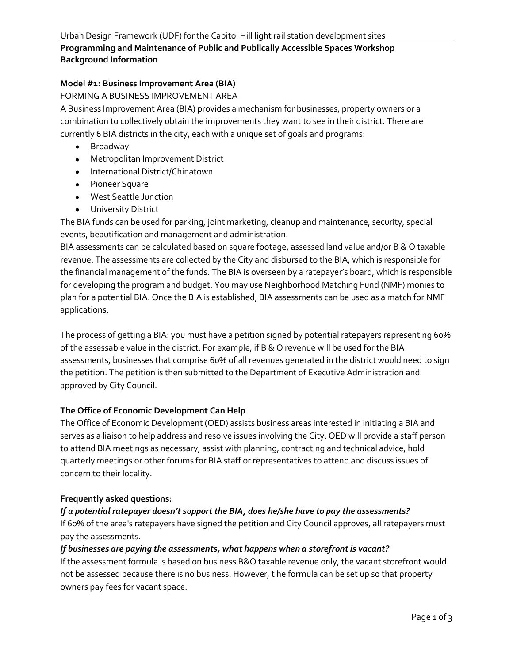# **Programming and Maintenance of Public and Publically Accessible Spaces Workshop Background Information**

## **Model #1: Business Improvement Area (BIA)**

## FORMING A BUSINESS IMPROVEMENT AREA

A Business Improvement Area (BIA) provides a mechanism for businesses, property owners or a combination to collectively obtain the improvements they want to see in their district. There are currently 6 BIA districts in the city, each with a unique set of goals and programs:

- Broadway
- Metropolitan Improvement District
- International District/Chinatown
- Pioneer Square
- West Seattle Junction
- **•** University District

The BIA funds can be used for parking, joint marketing, cleanup and maintenance, security, special events, beautification and management and administration.

BIA assessments can be calculated based on square footage, assessed land value and/or B & O taxable revenue. The assessments are collected by the City and disbursed to the BIA, which is responsible for the financial management of the funds. The BIA is overseen by a ratepayer's board, which is responsible for developing the program and budget. You may use Neighborhood Matching Fund (NMF) monies to plan for a potential BIA. Once the BIA is established, BIA assessments can be used as a match for NMF applications.

The process of getting a BIA: you must have a petition signed by potential ratepayers representing 60% of the assessable value in the district. For example, if B & O revenue will be used for the BIA assessments, businesses that comprise 60% of all revenues generated in the district would need to sign the petition. The petition is then submitted to the Department of Executive Administration and approved by City Council.

## **The Office of Economic Development Can Help**

The Office of Economic Development (OED) assists business areas interested in initiating a BIA and serves as a liaison to help address and resolve issues involving the City. OED will provide a staff person to attend BIA meetings as necessary, assist with planning, contracting and technical advice, hold quarterly meetings or other forums for BIA staff or representatives to attend and discuss issues of concern to their locality.

## **Frequently asked questions:**

## *If a potential ratepayer doesn't support the BIA, does he/she have to pay the assessments?*

If 60% of the area's ratepayers have signed the petition and City Council approves, all ratepayers must pay the assessments.

## *If businesses are paying the assessments, what happens when a storefront is vacant?*

If the assessment formula is based on business B&O taxable revenue only, the vacant storefront would not be assessed because there is no business. However, t he formula can be set up so that property owners pay fees for vacant space.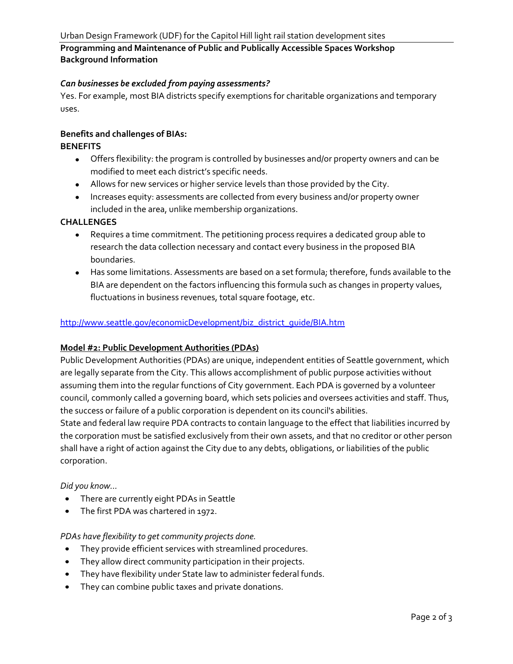# **Programming and Maintenance of Public and Publically Accessible Spaces Workshop Background Information**

## *Can businesses be excluded from paying assessments?*

Yes. For example, most BIA districts specify exemptions for charitable organizations and temporary uses.

## **Benefits and challenges of BIAs:**

## **BENEFITS**

- Offers flexibility: the program is controlled by businesses and/or property owners and can be modified to meet each district's specific needs.
- Allows for new services or higher service levels than those provided by the City.
- Increases equity: assessments are collected from every business and/or property owner included in the area, unlike membership organizations.

## **CHALLENGES**

- Requires a time commitment. The petitioning process requires a dedicated group able to research the data collection necessary and contact every business in the proposed BIA boundaries.
- Has some limitations. Assessments are based on a set formula; therefore, funds available to the BIA are dependent on the factors influencing this formula such as changes in property values, fluctuations in business revenues, total square footage, etc.

## [http://www.seattle.gov/economicDevelopment/biz\\_district\\_guide/BIA.htm](http://www.seattle.gov/economicDevelopment/biz_district_guide/BIA.htm)

#### **Model #2: Public Development Authorities (PDAs)**

Public Development Authorities (PDAs) are unique, independent entities of Seattle government, which are legally separate from the City. This allows accomplishment of public purpose activities without assuming them into the regular functions of City government. Each PDA is governed by a volunteer council, commonly called a governing board, which sets policies and oversees activities and staff. Thus, the success or failure of a public corporation is dependent on its council's abilities.

State and federal law require PDA contracts to contain language to the effect that liabilities incurred by the corporation must be satisfied exclusively from their own assets, and that no creditor or other person shall have a right of action against the City due to any debts, obligations, or liabilities of the public corporation.

#### *Did you know...*

- There are currently eight PDAs in Seattle  $\bullet$
- The first PDA was chartered in 1972.

#### *PDAs have flexibility to get community projects done.*

- They provide efficient services with streamlined procedures.
- $\bullet$ They allow direct community participation in their projects.
- They have flexibility under State law to administer federal funds.
- They can combine public taxes and private donations.